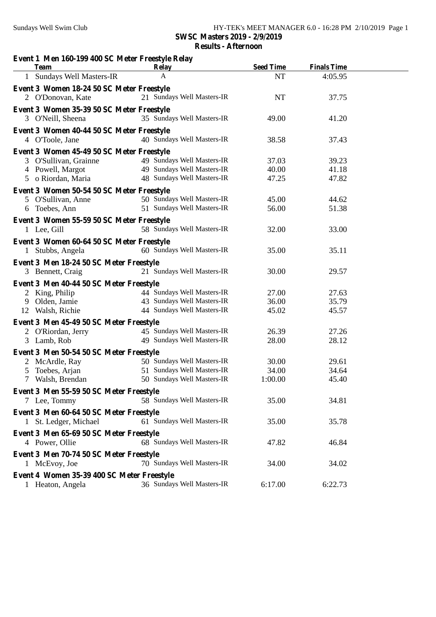## **Event 1 Men 160-199 400 SC Meter Freestyle Relay Team Relay Seed Time Finals Time**  A 1 **Event 3 Women 18-24 50 SC Meter Freestyle** 1 Sundays Well Masters-IR A NT 4:05.95 2 O'Donovan, Kate 21 Sundays Well Masters-IR NT 37.75 2 **Event 3 Women 35-39 50 SC Meter Freestyle** 35 Sundays Well Masters-IR 3 O'Neill, Sheena 49.00 41.20 3 **Event 3 Women 40-44 50 SC Meter Freestyle** 4 O'Toole, Jane 37.43 40 Sundays Well Masters-IR 38.58 37.43 4 **Event 3 Women 45-49 50 SC Meter Freestyle** 3 O'Sullivan, Grainne 49 Sundays Well Masters-IR 37.03 39.23 4 Powell, Margot 4 Powell, Margot 49 Sundays Well Masters-IR 40.00 41.18 5 o Riordan, Maria 5 o Riordan, Maria 48 Sundays Well Masters-IR 47.25 47.82 5 **Event 3 Women 50-54 50 SC Meter Freestyle** 5 O'Sullivan, Anne 50 Sundays Well Masters-IR 45.00 44.62 6 Toebes, Ann 51 Sundays Well Masters-IR 6 Toebes, Ann 56.00 51.38 6 **Event 3 Women 55-59 50 SC Meter Freestyle** 1 Lee, Gill 58 Sundays Well Masters-IR 32.00 33.00 1 **Event 3 Women 60-64 50 SC Meter Freestyle** 1 Stubbs, Angela 60 Sundays Well Masters-IR 35.00 35.11 1 **Event 3 Men 18-24 50 SC Meter Freestyle** 3 Bennett, Craig 21 Sundays Well Masters-IR 30.00 29.57 3 **Event 3 Men 40-44 50 SC Meter Freestyle** 44 Sundays Well Masters-IR 2 King, Philip 27.00 27.63 9 Olden, Jamie 43 Sundays Well Masters-IR 9 Olden, Jamie 36.00 35.79 12 Walsh, Richie 44 Sundays Well Masters-IR 12 Walsh, Richie 45.02 45.57 Event 3 Men 45-49 50 SC Meter Freestyle 45 Sundays Well Masters-IR 2 O'Riordan, Jerry 26.39 27.26 3 Lamb, Rob 49 Sundays Well Masters-IR 3 Lamb, Rob 28.00 28.12 3 **Event 3 Men 50-54 50 SC Meter Freestyle** 2 McArdle, Ray 50 Sundays Well Masters-IR 30.00 29.61 5 Toebes, Arjan 51 Sundays Well Masters-IR 5 Toebes, Arjan 34.00 34.64 7 Walsh, Brendan 7 Walsh, Brendan 50 Sundays Well Masters-IR 1:00.00 45.40 7 **Event 3 Men 55-59 50 SC Meter Freestyle** 58 Sundays Well Masters-IR 7 Lee, Tommy 35.00 34.81 7 **Event 3 Men 60-64 50 SC Meter Freestyle** 1 St. Ledger, Michael 61 Sundays Well Masters-IR 35.00 35.78 1 **Event 3 Men 65-69 50 SC Meter Freestyle** 4 Power, Ollie 68 Sundays Well Masters-IR 47.82 46.84 4 **Event 3 Men 70-74 50 SC Meter Freestyle** 70 Sundays Well Masters-IR 1 McEvoy, Joe 34.00 34.02 1 **Event 4 Women 35-39 400 SC Meter Freestyle** 1 Heaton, Angela 36 Sundays Well Masters-IR 6:17.00 6:22.73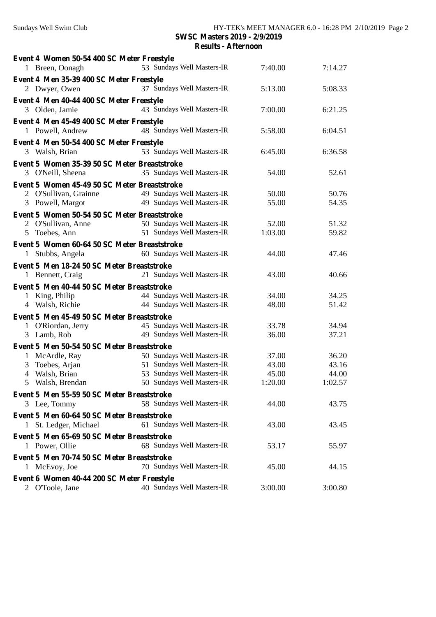| Event 4 Women 50-54 400 SC Meter Freestyle<br>1 Breen, Oonagh | 53 Sundays Well Masters-IR | 7:40.00 | 7:14.27 |  |
|---------------------------------------------------------------|----------------------------|---------|---------|--|
| Event 4 Men 35-39 400 SC Meter Freestyle                      |                            |         |         |  |
| 2 Dwyer, Owen                                                 | 37 Sundays Well Masters-IR | 5:13.00 | 5:08.33 |  |
| Event 4 Men 40-44 400 SC Meter Freestyle                      |                            |         |         |  |
| 3 Olden, Jamie                                                | 43 Sundays Well Masters-IR | 7:00.00 | 6:21.25 |  |
| Event 4 Men 45-49 400 SC Meter Freestyle<br>1 Powell, Andrew  | 48 Sundays Well Masters-IR | 5:58.00 | 6:04.51 |  |
| Event 4 Men 50-54 400 SC Meter Freestyle                      |                            |         |         |  |
| 3 Walsh, Brian                                                | 53 Sundays Well Masters-IR | 6:45.00 | 6:36.58 |  |
| Event 5 Women 35-39 50 SC Meter Breaststroke                  |                            |         |         |  |
| 3 O'Neill, Sheena                                             | 35 Sundays Well Masters-IR | 54.00   | 52.61   |  |
| Event 5 Women 45-49 50 SC Meter Breaststroke                  |                            |         |         |  |
| 2 O'Sullivan, Grainne                                         | 49 Sundays Well Masters-IR | 50.00   | 50.76   |  |
| 3 Powell, Margot                                              | 49 Sundays Well Masters-IR | 55.00   | 54.35   |  |
| Event 5 Women 50-54 50 SC Meter Breaststroke                  |                            |         |         |  |
| 2 O'Sullivan, Anne                                            | 50 Sundays Well Masters-IR | 52.00   | 51.32   |  |
| 5 Toebes, Ann                                                 | 51 Sundays Well Masters-IR | 1:03.00 | 59.82   |  |
| Event 5 Women 60-64 50 SC Meter Breaststroke                  |                            |         |         |  |
| 1 Stubbs, Angela                                              | 60 Sundays Well Masters-IR | 44.00   | 47.46   |  |
| Event 5 Men 18-24 50 SC Meter Breaststroke                    |                            |         |         |  |
| 1 Bennett, Craig                                              | 21 Sundays Well Masters-IR | 43.00   | 40.66   |  |
|                                                               |                            |         |         |  |
| Event 5 Men 40-44 50 SC Meter Breaststroke<br>1 King, Philip  | 44 Sundays Well Masters-IR | 34.00   | 34.25   |  |
| 4 Walsh, Richie                                               | 44 Sundays Well Masters-IR | 48.00   | 51.42   |  |
| Event 5 Men 45-49 50 SC Meter Breaststroke                    |                            |         |         |  |
| 1 O'Riordan, Jerry                                            | 45 Sundays Well Masters-IR | 33.78   | 34.94   |  |
| 3 Lamb, Rob                                                   | 49 Sundays Well Masters-IR | 36.00   | 37.21   |  |
|                                                               |                            |         |         |  |
| Event 5 Men 50-54 50 SC Meter Breaststroke<br>1 McArdle, Ray  | 50 Sundays Well Masters-IR | 37.00   | 36.20   |  |
| Toebes, Arjan<br>3                                            | 51 Sundays Well Masters-IR | 43.00   | 43.16   |  |
| 4 Walsh, Brian                                                | 53 Sundays Well Masters-IR | 45.00   | 44.00   |  |
| 5 Walsh, Brendan                                              | 50 Sundays Well Masters-IR | 1:20.00 | 1:02.57 |  |
| Event 5 Men 55-59 50 SC Meter Breaststroke                    |                            |         |         |  |
| 3 Lee, Tommy                                                  | 58 Sundays Well Masters-IR | 44.00   | 43.75   |  |
| Event 5 Men 60-64 50 SC Meter Breaststroke                    |                            |         |         |  |
| 1 St. Ledger, Michael                                         | 61 Sundays Well Masters-IR | 43.00   | 43.45   |  |
| Event 5 Men 65-69 50 SC Meter Breaststroke                    |                            |         |         |  |
| 1 Power, Ollie                                                | 68 Sundays Well Masters-IR | 53.17   | 55.97   |  |
| Event 5 Men 70-74 50 SC Meter Breaststroke                    |                            |         |         |  |
| 1 McEvoy, Joe                                                 | 70 Sundays Well Masters-IR | 45.00   | 44.15   |  |
| Event 6 Women 40-44 200 SC Meter Freestyle                    | 40 Sundays Well Masters-IR |         |         |  |
| 2 O'Toole, Jane                                               |                            | 3:00.00 | 3:00.80 |  |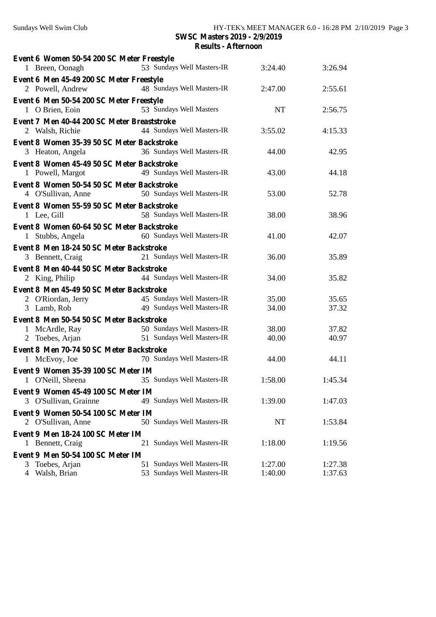| Event 6 Women 50-54 200 SC Meter Freestyle<br>1 Breen, Oonagh | 53 Sundays Well Masters-IR | 3:24.40   | 3:26.94 |  |  |
|---------------------------------------------------------------|----------------------------|-----------|---------|--|--|
| Event 6 Men 45-49 200 SC Meter Freestyle                      |                            |           |         |  |  |
| 2 Powell, Andrew                                              | 48 Sundays Well Masters-IR | 2:47.00   | 2:55.61 |  |  |
| Event 6 Men 50-54 200 SC Meter Freestyle                      |                            |           |         |  |  |
| 1 O Brien, Eoin                                               | 53 Sundays Well Masters    | <b>NT</b> | 2:56.75 |  |  |
| Event 7 Men 40-44 200 SC Meter Breaststroke                   |                            |           |         |  |  |
| 2 Walsh, Richie                                               | 44 Sundays Well Masters-IR | 3:55.02   | 4:15.33 |  |  |
| Event 8 Women 35-39 50 SC Meter Backstroke                    |                            |           |         |  |  |
| 3 Heaton, Angela                                              | 36 Sundays Well Masters-IR | 44.00     | 42.95   |  |  |
| Event 8 Women 45-49 50 SC Meter Backstroke                    |                            |           |         |  |  |
| 1 Powell, Margot                                              | 49 Sundays Well Masters-IR | 43.00     | 44.18   |  |  |
| Event 8 Women 50-54 50 SC Meter Backstroke                    |                            |           |         |  |  |
| 4 O'Sullivan, Anne                                            | 50 Sundays Well Masters-IR | 53.00     | 52.78   |  |  |
| Event 8 Women 55-59 50 SC Meter Backstroke                    |                            |           |         |  |  |
| 1 Lee, Gill                                                   | 58 Sundays Well Masters-IR | 38.00     | 38.96   |  |  |
| Event 8 Women 60-64 50 SC Meter Backstroke                    |                            |           |         |  |  |
| 1 Stubbs, Angela                                              | 60 Sundays Well Masters-IR | 41.00     | 42.07   |  |  |
| Event 8 Men 18-24 50 SC Meter Backstroke                      |                            |           |         |  |  |
| 3 Bennett, Craig                                              | 21 Sundays Well Masters-IR | 36.00     | 35.89   |  |  |
| Event 8 Men 40-44 50 SC Meter Backstroke                      |                            |           |         |  |  |
| 2 King, Philip                                                | 44 Sundays Well Masters-IR | 34.00     | 35.82   |  |  |
| Event 8 Men 45-49 50 SC Meter Backstroke                      |                            |           |         |  |  |
| 2 O'Riordan, Jerry                                            | 45 Sundays Well Masters-IR | 35.00     | 35.65   |  |  |
| 3 Lamb, Rob                                                   | 49 Sundays Well Masters-IR | 34.00     | 37.32   |  |  |
| Event 8 Men 50-54 50 SC Meter Backstroke                      |                            |           |         |  |  |
| 1 McArdle, Ray                                                | 50 Sundays Well Masters-IR | 38.00     | 37.82   |  |  |
| 2 Toebes, Arjan                                               | 51 Sundays Well Masters-IR | 40.00     | 40.97   |  |  |
| Event 8 Men 70-74 50 SC Meter Backstroke                      |                            |           |         |  |  |
| 1 McEvoy, Joe                                                 | 70 Sundays Well Masters-IR | 44.00     | 44.11   |  |  |
| Event 9 Women 35-39 100 SC Meter IM                           |                            |           |         |  |  |
| 1 O'Neill, Sheena                                             | 35 Sundays Well Masters-IR | 1:58.00   | 1:45.34 |  |  |
| Event 9 Women 45-49 100 SC Meter IM                           |                            |           |         |  |  |
| 3 O'Sullivan, Grainne                                         | 49 Sundays Well Masters-IR | 1:39.00   | 1:47.03 |  |  |
| Event 9 Women 50-54 100 SC Meter IM                           |                            |           |         |  |  |
| 2 O'Sullivan, Anne                                            | 50 Sundays Well Masters-IR | NT        | 1:53.84 |  |  |
| Event 9 Men 18-24 100 SC Meter IM                             |                            |           |         |  |  |
| 1 Bennett, Craig                                              | 21 Sundays Well Masters-IR | 1:18.00   | 1:19.56 |  |  |
| Event 9 Men 50-54 100 SC Meter IM                             |                            |           |         |  |  |
| 3 Toebes, Arjan                                               | 51 Sundays Well Masters-IR | 1:27.00   | 1:27.38 |  |  |
| 4 Walsh, Brian                                                | 53 Sundays Well Masters-IR | 1:40.00   | 1:37.63 |  |  |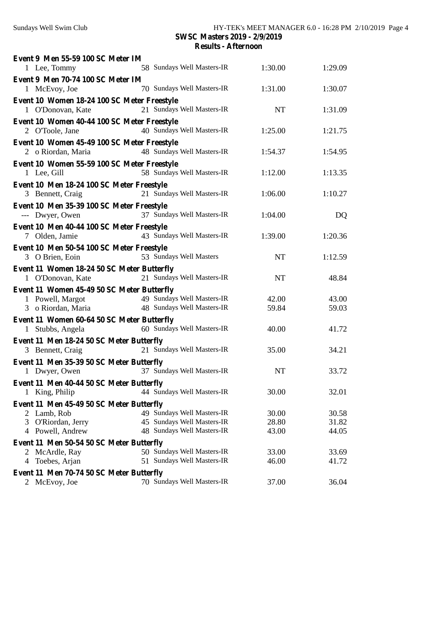| Event 9 Men 55-59 100 SC Meter IM           |                            |           |         |  |
|---------------------------------------------|----------------------------|-----------|---------|--|
| 1 Lee, Tommy                                | 58 Sundays Well Masters-IR | 1:30.00   | 1:29.09 |  |
| Event 9 Men 70-74 100 SC Meter IM           | 70 Sundays Well Masters-IR |           |         |  |
| 1 McEvoy, Joe                               |                            | 1:31.00   | 1:30.07 |  |
| Event 10 Women 18-24 100 SC Meter Freestyle |                            |           |         |  |
| 1 O'Donovan, Kate                           | 21 Sundays Well Masters-IR | <b>NT</b> | 1:31.09 |  |
| Event 10 Women 40-44 100 SC Meter Freestyle |                            |           |         |  |
| 2 O'Toole, Jane                             | 40 Sundays Well Masters-IR | 1:25.00   | 1:21.75 |  |
| Event 10 Women 45-49 100 SC Meter Freestyle |                            |           |         |  |
| 2 o Riordan, Maria                          | 48 Sundays Well Masters-IR | 1:54.37   | 1:54.95 |  |
| Event 10 Women 55-59 100 SC Meter Freestyle |                            |           |         |  |
| 1 Lee, Gill                                 | 58 Sundays Well Masters-IR | 1:12.00   | 1:13.35 |  |
| Event 10 Men 18-24 100 SC Meter Freestyle   |                            |           |         |  |
| 3 Bennett, Craig                            | 21 Sundays Well Masters-IR | 1:06.00   | 1:10.27 |  |
| Event 10 Men 35-39 100 SC Meter Freestyle   |                            |           |         |  |
| --- Dwyer, Owen                             | 37 Sundays Well Masters-IR | 1:04.00   | DQ      |  |
| Event 10 Men 40-44 100 SC Meter Freestyle   |                            |           |         |  |
| 7 Olden, Jamie                              | 43 Sundays Well Masters-IR | 1:39.00   | 1:20.36 |  |
| Event 10 Men 50-54 100 SC Meter Freestyle   |                            |           |         |  |
| 3 O Brien, Eoin                             | 53 Sundays Well Masters    | <b>NT</b> | 1:12.59 |  |
| Event 11 Women 18-24 50 SC Meter Butterfly  |                            |           |         |  |
| 1 O'Donovan, Kate                           | 21 Sundays Well Masters-IR | <b>NT</b> | 48.84   |  |
| Event 11 Women 45-49 50 SC Meter Butterfly  |                            |           |         |  |
| 1 Powell, Margot                            | 49 Sundays Well Masters-IR | 42.00     | 43.00   |  |
| 3 o Riordan, Maria                          | 48 Sundays Well Masters-IR | 59.84     | 59.03   |  |
| Event 11 Women 60-64 50 SC Meter Butterfly  |                            |           |         |  |
| 1 Stubbs, Angela                            | 60 Sundays Well Masters-IR | 40.00     | 41.72   |  |
| Event 11 Men 18-24 50 SC Meter Butterfly    |                            |           |         |  |
| 3 Bennett, Craig                            | 21 Sundays Well Masters-IR | 35.00     | 34.21   |  |
| Event 11 Men 35-39 50 SC Meter Butterfly    |                            |           |         |  |
| 1 Dwyer, Owen                               | 37 Sundays Well Masters-IR | <b>NT</b> | 33.72   |  |
| Event 11 Men 40-44 50 SC Meter Butterfly    |                            |           |         |  |
| 1 King, Philip                              | 44 Sundays Well Masters-IR | 30.00     | 32.01   |  |
| Event 11 Men 45-49 50 SC Meter Butterfly    |                            |           |         |  |
| 2 Lamb, Rob                                 | 49 Sundays Well Masters-IR | 30.00     | 30.58   |  |
| O'Riordan, Jerry<br>3                       | 45 Sundays Well Masters-IR | 28.80     | 31.82   |  |
| 4 Powell, Andrew                            | 48 Sundays Well Masters-IR | 43.00     | 44.05   |  |
| Event 11 Men 50-54 50 SC Meter Butterfly    |                            |           |         |  |
| 2 McArdle, Ray                              | 50 Sundays Well Masters-IR | 33.00     | 33.69   |  |
| 4 Toebes, Arjan                             | 51 Sundays Well Masters-IR | 46.00     | 41.72   |  |
| Event 11 Men 70-74 50 SC Meter Butterfly    |                            |           |         |  |
| 2 McEvoy, Joe                               | 70 Sundays Well Masters-IR | 37.00     | 36.04   |  |